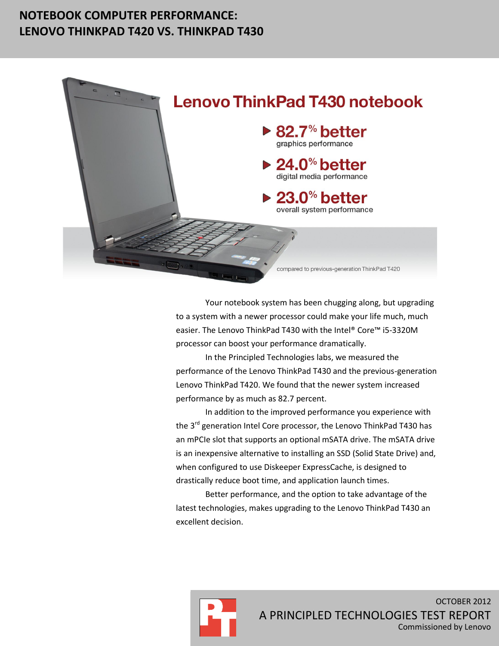## **NOTEBOOK COMPUTER PERFORMANCE: LENOVO THINKPAD T420 VS. THINKPAD T430**



Your notebook system has been chugging along, but upgrading to a system with a newer processor could make your life much, much easier. The Lenovo ThinkPad T430 with the Intel® Core™ i5-3320M processor can boost your performance dramatically.

In the Principled Technologies labs, we measured the performance of the Lenovo ThinkPad T430 and the previous-generation Lenovo ThinkPad T420. We found that the newer system increased performance by as much as 82.7 percent.

In addition to the improved performance you experience with the 3<sup>rd</sup> generation Intel Core processor, the Lenovo ThinkPad T430 has an mPCIe slot that supports an optional mSATA drive. The mSATA drive is an inexpensive alternative to installing an SSD (Solid State Drive) and, when configured to use Diskeeper ExpressCache, is designed to drastically reduce boot time, and application launch times.

Better performance, and the option to take advantage of the latest technologies, makes upgrading to the Lenovo ThinkPad T430 an excellent decision.

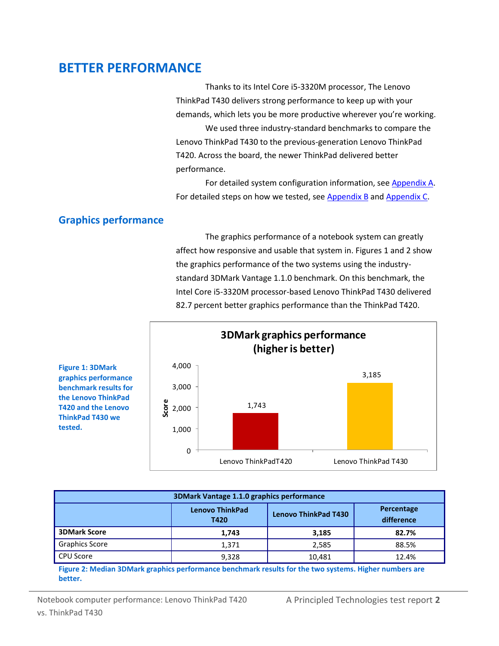## **BETTER PERFORMANCE**

Thanks to its Intel Core i5-3320M processor, The Lenovo ThinkPad T430 delivers strong performance to keep up with your demands, which lets you be more productive wherever you're working. We used three industry-standard benchmarks to compare the

Lenovo ThinkPad T430 to the previous-generation Lenovo ThinkPad T420. Across the board, the newer ThinkPad delivered better performance.

For detailed system configuration information, se[e Appendix A.](#page-6-0) For detailed steps on how we tested, see [Appendix B](#page-9-0) and [Appendix C.](#page-9-0)

## **Graphics performance**

The graphics performance of a notebook system can greatly affect how responsive and usable that system in. Figures 1 and 2 show the graphics performance of the two systems using the industrystandard 3DMark Vantage 1.1.0 benchmark. On this benchmark, the Intel Core i5-3320M processor-based Lenovo ThinkPad T430 delivered 82.7 percent better graphics performance than the ThinkPad T420.



| 3DMark Vantage 1.1.0 graphics performance |                                |                             |                          |
|-------------------------------------------|--------------------------------|-----------------------------|--------------------------|
|                                           | <b>Lenovo ThinkPad</b><br>T420 | <b>Lenovo ThinkPad T430</b> | Percentage<br>difference |
| <b>3DMark Score</b>                       | 1,743                          | 3,185                       | 82.7%                    |
| <b>Graphics Score</b>                     | 1,371                          | 2,585                       | 88.5%                    |
| <b>CPU Score</b>                          | 9,328                          | 10,481                      | 12.4%                    |

**Figure 2: Median 3DMark graphics performance benchmark results for the two systems. Higher numbers are better.**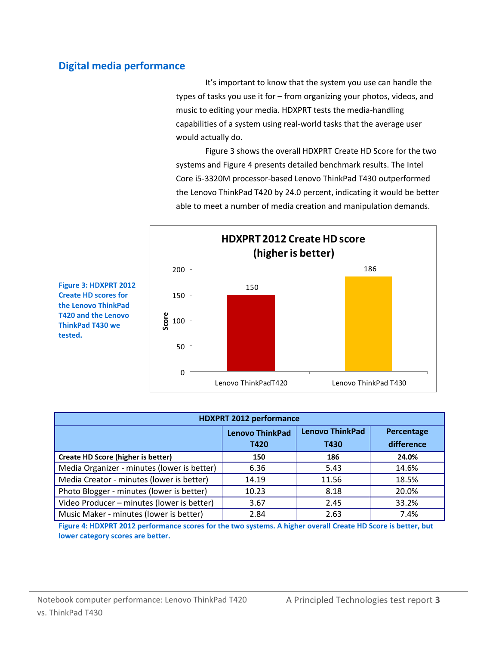## **Digital media performance**

It's important to know that the system you use can handle the types of tasks you use it for – from organizing your photos, videos, and music to editing your media. HDXPRT tests the media-handling capabilities of a system using real-world tasks that the average user would actually do.

Figure 3 shows the overall HDXPRT Create HD Score for the two systems and Figure 4 presents detailed benchmark results. The Intel Core i5-3320M processor-based Lenovo ThinkPad T430 outperformed the Lenovo ThinkPad T420 by 24.0 percent, indicating it would be better able to meet a number of media creation and manipulation demands.



**Figure 3: HDXPRT 2012 Create HD scores for the Lenovo ThinkPad T420 and the Lenovo ThinkPad T430 we tested.**

| <b>HDXPRT 2012 performance</b>              |                        |                        |            |
|---------------------------------------------|------------------------|------------------------|------------|
|                                             | <b>Lenovo ThinkPad</b> | <b>Lenovo ThinkPad</b> | Percentage |
|                                             | T420                   | T430                   | difference |
| <b>Create HD Score (higher is better)</b>   | 150                    | 186                    | 24.0%      |
| Media Organizer - minutes (lower is better) | 6.36                   | 5.43                   | 14.6%      |
| Media Creator - minutes (lower is better)   | 14.19                  | 11.56                  | 18.5%      |
| Photo Blogger - minutes (lower is better)   | 10.23                  | 8.18                   | 20.0%      |
| Video Producer - minutes (lower is better)  | 3.67                   | 2.45                   | 33.2%      |
| Music Maker - minutes (lower is better)     | 2.84                   | 2.63                   | 7.4%       |

**Figure 4: HDXPRT 2012 performance scores for the two systems. A higher overall Create HD Score is better, but lower category scores are better.**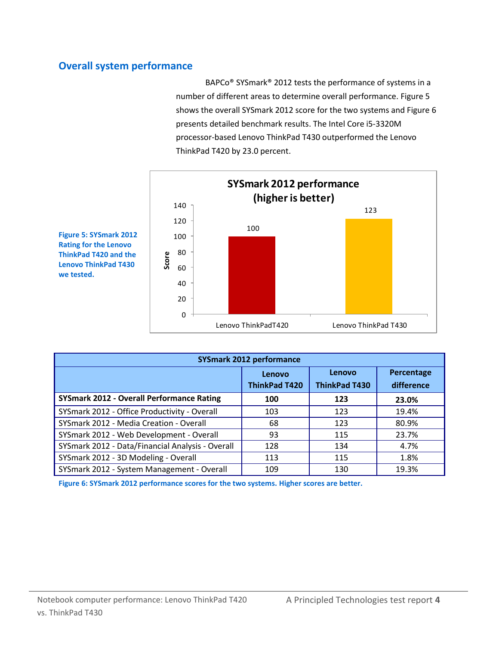## **Overall system performance**

BAPCo® SYSmark® 2012 tests the performance of systems in a number of different areas to determine overall performance. Figure 5 shows the overall SYSmark 2012 score for the two systems and Figure 6 presents detailed benchmark results. The Intel Core i5-3320M processor-based Lenovo ThinkPad T430 outperformed the Lenovo ThinkPad T420 by 23.0 percent.



**Figure 5: SYSmark 2012 Rating for the Lenovo ThinkPad T420 and the Lenovo ThinkPad T430 we tested.**

| <b>SYSmark 2012 performance</b>                  |                                |                                |                          |
|--------------------------------------------------|--------------------------------|--------------------------------|--------------------------|
|                                                  | Lenovo<br><b>ThinkPad T420</b> | Lenovo<br><b>ThinkPad T430</b> | Percentage<br>difference |
| <b>SYSmark 2012 - Overall Performance Rating</b> | 100                            | 123                            | 23.0%                    |
| SYSmark 2012 - Office Productivity - Overall     | 103                            | 123                            | 19.4%                    |
| SYSmark 2012 - Media Creation - Overall          | 68                             | 123                            | 80.9%                    |
| SYSmark 2012 - Web Development - Overall         | 93                             | 115                            | 23.7%                    |
| SYSmark 2012 - Data/Financial Analysis - Overall | 128                            | 134                            | 4.7%                     |
| SYSmark 2012 - 3D Modeling - Overall             | 113                            | 115                            | 1.8%                     |
| SYSmark 2012 - System Management - Overall       | 109                            | 130                            | 19.3%                    |

**Figure 6: SYSmark 2012 performance scores for the two systems. Higher scores are better.**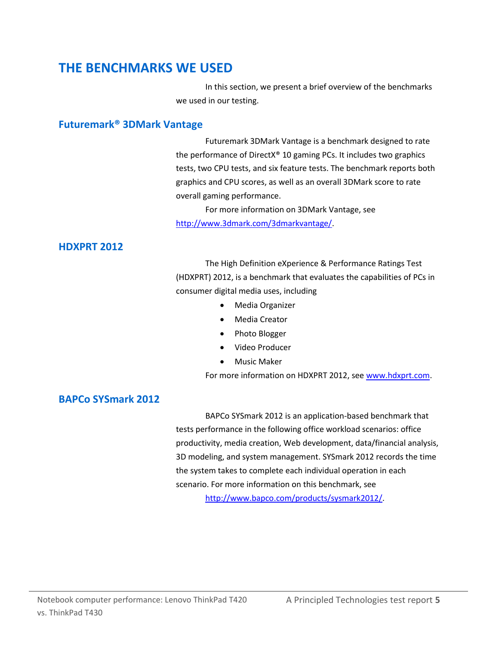## **THE BENCHMARKS WE USED**

In this section, we present a brief overview of the benchmarks we used in our testing.

#### **Futuremark® 3DMark Vantage**

Futuremark 3DMark Vantage is a benchmark designed to rate the performance of DirectX® 10 gaming PCs. It includes two graphics tests, two CPU tests, and six feature tests. The benchmark reports both graphics and CPU scores, as well as an overall 3DMark score to rate overall gaming performance.

For more information on 3DMark Vantage, see [http://www.3dmark.com/3dmarkvantage/.](http://www.3dmark.com/3dmarkvantage/)

## **HDXPRT 2012**

The High Definition eXperience & Performance Ratings Test (HDXPRT) 2012, is a benchmark that evaluates the capabilities of PCs in consumer digital media uses, including

- Media Organizer
- Media Creator
- Photo Blogger
- Video Producer
- **•** Music Maker

For more information on HDXPRT 2012, see [www.hdxprt.com.](http://www.hdxprt.com/)

### **BAPCo SYSmark 2012**

BAPCo SYSmark 2012 is an application-based benchmark that tests performance in the following office workload scenarios: office productivity, media creation, Web development, data/financial analysis, 3D modeling, and system management. SYSmark 2012 records the time the system takes to complete each individual operation in each scenario. For more information on this benchmark, see [http://www.bapco.com/products/sysmark2012/.](http://www.bapco.com/products/sysmark2012/)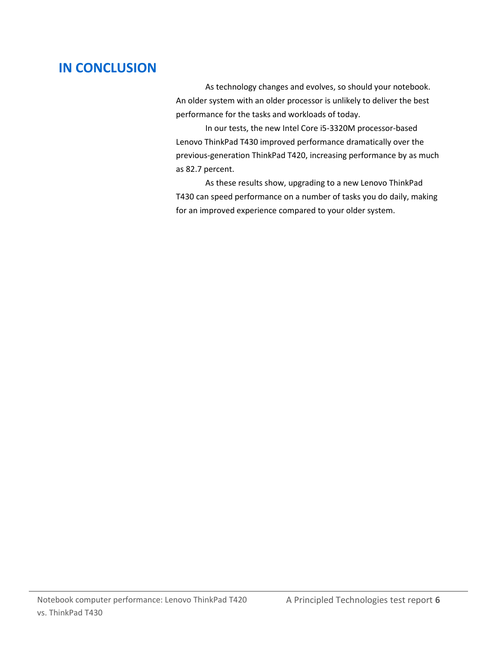# **IN CONCLUSION**

As technology changes and evolves, so should your notebook. An older system with an older processor is unlikely to deliver the best performance for the tasks and workloads of today.

In our tests, the new Intel Core i5-3320M processor-based Lenovo ThinkPad T430 improved performance dramatically over the previous-generation ThinkPad T420, increasing performance by as much as 82.7 percent.

As these results show, upgrading to a new Lenovo ThinkPad T430 can speed performance on a number of tasks you do daily, making for an improved experience compared to your older system.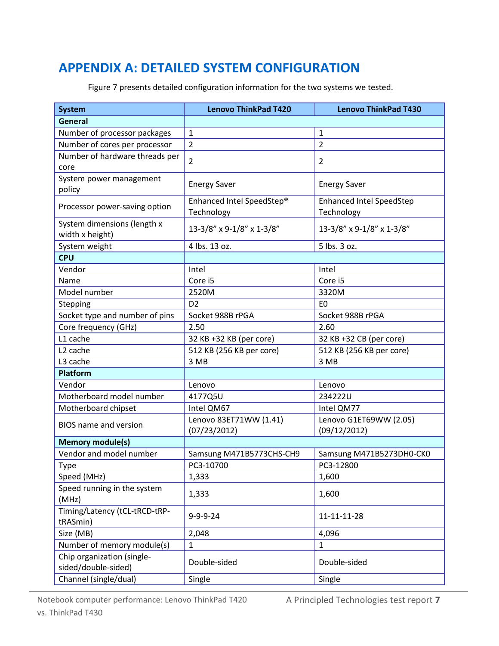# <span id="page-6-0"></span>**APPENDIX A: DETAILED SYSTEM CONFIGURATION**

Figure 7 presents detailed configuration information for the two systems we tested.

| <b>System</b>                  | <b>Lenovo ThinkPad T420</b> | <b>Lenovo ThinkPad T430</b>     |
|--------------------------------|-----------------------------|---------------------------------|
| <b>General</b>                 |                             |                                 |
| Number of processor packages   | $\mathbf{1}$                | $\mathbf{1}$                    |
| Number of cores per processor  | $\overline{2}$              | $\overline{2}$                  |
| Number of hardware threads per |                             |                                 |
| core                           | $\overline{2}$              | 2                               |
| System power management        |                             |                                 |
| policy                         | <b>Energy Saver</b>         | <b>Energy Saver</b>             |
| Processor power-saving option  | Enhanced Intel SpeedStep®   | <b>Enhanced Intel SpeedStep</b> |
|                                | Technology                  | Technology                      |
| System dimensions (length x    | 13-3/8" x 9-1/8" x 1-3/8"   | 13-3/8" x 9-1/8" x 1-3/8"       |
| width x height)                |                             |                                 |
| System weight                  | 4 lbs. 13 oz.               | 5 lbs. 3 oz.                    |
| <b>CPU</b>                     |                             |                                 |
| Vendor                         | Intel                       | Intel                           |
| Name                           | Core i5                     | Core i5                         |
| Model number                   | 2520M                       | 3320M                           |
| Stepping                       | D <sub>2</sub>              | E <sub>0</sub>                  |
| Socket type and number of pins | Socket 988B rPGA            | Socket 988B rPGA                |
| Core frequency (GHz)           | 2.50                        | 2.60                            |
| L1 cache                       | 32 KB +32 KB (per core)     | 32 KB +32 CB (per core)         |
| L <sub>2</sub> cache           | 512 KB (256 KB per core)    | 512 KB (256 KB per core)        |
| L3 cache                       | 3 MB                        | 3 MB                            |
| Platform                       |                             |                                 |
| Vendor                         | Lenovo                      | Lenovo                          |
| Motherboard model number       | 4177Q5U                     | 234222U                         |
| Motherboard chipset            | Intel QM67                  | Intel QM77                      |
| <b>BIOS</b> name and version   | Lenovo 83ET71WW (1.41)      | Lenovo G1ET69WW (2.05)          |
|                                | (07/23/2012)                | (09/12/2012)                    |
| <b>Memory module(s)</b>        |                             |                                 |
| Vendor and model number        | Samsung M471B5773CHS-CH9    | Samsung M471B5273DH0-CK0        |
| Type                           | PC3-10700                   | PC3-12800                       |
| Speed (MHz)                    | 1,333                       | 1,600                           |
| Speed running in the system    | 1,333                       | 1,600                           |
| (MHz)                          |                             |                                 |
| Timing/Latency (tCL-tRCD-tRP-  | $9 - 9 - 9 - 24$            | 11-11-11-28                     |
| tRASmin)                       |                             |                                 |
| Size (MB)                      | 2,048                       | 4,096                           |
| Number of memory module(s)     | $\mathbf{1}$                | $\mathbf{1}$                    |
| Chip organization (single-     | Double-sided                | Double-sided                    |
| sided/double-sided)            |                             |                                 |
| Channel (single/dual)          | Single                      | Single                          |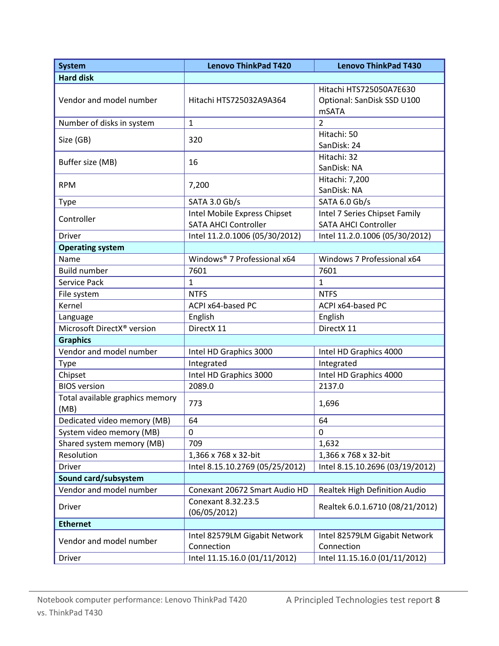| <b>System</b>                           | <b>Lenovo ThinkPad T420</b>                                 | <b>Lenovo ThinkPad T430</b>                                           |
|-----------------------------------------|-------------------------------------------------------------|-----------------------------------------------------------------------|
| <b>Hard disk</b>                        |                                                             |                                                                       |
| Vendor and model number                 | Hitachi HTS725032A9A364                                     | Hitachi HTS725050A7E630<br>Optional: SanDisk SSD U100<br><b>mSATA</b> |
| Number of disks in system               | $\mathbf{1}$                                                | $\overline{2}$                                                        |
| Size (GB)                               | 320                                                         | Hitachi: 50<br>SanDisk: 24                                            |
| Buffer size (MB)                        | 16                                                          | Hitachi: 32<br>SanDisk: NA                                            |
| <b>RPM</b>                              | 7,200                                                       | Hitachi: 7,200<br>SanDisk: NA                                         |
| <b>Type</b>                             | SATA 3.0 Gb/s                                               | SATA 6.0 Gb/s                                                         |
| Controller                              | Intel Mobile Express Chipset<br><b>SATA AHCI Controller</b> | Intel 7 Series Chipset Family<br><b>SATA AHCI Controller</b>          |
| Driver                                  | Intel 11.2.0.1006 (05/30/2012)                              | Intel 11.2.0.1006 (05/30/2012)                                        |
| <b>Operating system</b>                 |                                                             |                                                                       |
| Name                                    | Windows® 7 Professional x64                                 | Windows 7 Professional x64                                            |
| <b>Build number</b>                     | 7601                                                        | 7601                                                                  |
| Service Pack                            | $\mathbf{1}$                                                | $\mathbf{1}$                                                          |
| File system                             | <b>NTFS</b>                                                 | <b>NTFS</b>                                                           |
| Kernel                                  | ACPI x64-based PC                                           | ACPI x64-based PC                                                     |
| Language                                | English                                                     | English                                                               |
| Microsoft DirectX® version              | DirectX 11                                                  | DirectX 11                                                            |
| <b>Graphics</b>                         |                                                             |                                                                       |
| Vendor and model number                 | Intel HD Graphics 3000                                      | Intel HD Graphics 4000                                                |
| Type                                    | Integrated                                                  | Integrated                                                            |
| Chipset                                 | Intel HD Graphics 3000                                      | Intel HD Graphics 4000                                                |
| <b>BIOS</b> version                     | 2089.0                                                      | 2137.0                                                                |
| Total available graphics memory<br>(MB) | 773                                                         | 1,696                                                                 |
| Dedicated video memory (MB)             | 64                                                          | 64                                                                    |
| System video memory (MB)                | 0                                                           | 0                                                                     |
| Shared system memory (MB)               | 709                                                         | 1,632                                                                 |
| Resolution                              | 1,366 x 768 x 32-bit                                        | 1,366 x 768 x 32-bit                                                  |
| Driver                                  | Intel 8.15.10.2769 (05/25/2012)                             | Intel 8.15.10.2696 (03/19/2012)                                       |
| Sound card/subsystem                    |                                                             |                                                                       |
| Vendor and model number                 | Conexant 20672 Smart Audio HD                               | Realtek High Definition Audio                                         |
| <b>Driver</b>                           | Conexant 8.32.23.5<br>(06/05/2012)                          | Realtek 6.0.1.6710 (08/21/2012)                                       |
| <b>Ethernet</b>                         |                                                             |                                                                       |
| Vendor and model number                 | Intel 82579LM Gigabit Network<br>Connection                 | Intel 82579LM Gigabit Network<br>Connection                           |
| Driver                                  | Intel 11.15.16.0 (01/11/2012)                               | Intel 11.15.16.0 (01/11/2012)                                         |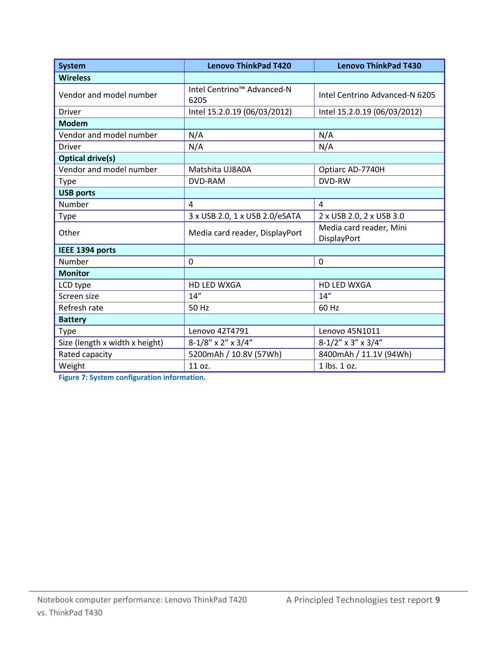| <b>System</b>                  | <b>Lenovo ThinkPad T420</b>        | <b>Lenovo ThinkPad T430</b>            |
|--------------------------------|------------------------------------|----------------------------------------|
| <b>Wireless</b>                |                                    |                                        |
| Vendor and model number        | Intel Centrino™ Advanced-N<br>6205 | Intel Centrino Advanced-N 6205         |
| <b>Driver</b>                  | Intel 15.2.0.19 (06/03/2012)       | Intel 15.2.0.19 (06/03/2012)           |
| <b>Modem</b>                   |                                    |                                        |
| Vendor and model number        | N/A                                | N/A                                    |
| <b>Driver</b>                  | N/A                                | N/A                                    |
| <b>Optical drive(s)</b>        |                                    |                                        |
| Vendor and model number        | Matshita UJ8A0A                    | Optiarc AD-7740H                       |
| <b>Type</b>                    | <b>DVD-RAM</b>                     | DVD-RW                                 |
| <b>USB ports</b>               |                                    |                                        |
| Number                         | $\overline{4}$                     | $\overline{4}$                         |
| Type                           | 3 x USB 2.0, 1 x USB 2.0/eSATA     | 2 x USB 2.0, 2 x USB 3.0               |
| Other                          | Media card reader, DisplayPort     | Media card reader, Mini<br>DisplayPort |
| IEEE 1394 ports                |                                    |                                        |
| Number                         | 0                                  | $\mathbf 0$                            |
| <b>Monitor</b>                 |                                    |                                        |
| LCD type                       | <b>HD LED WXGA</b>                 | <b>HD LED WXGA</b>                     |
| Screen size                    | 14''                               | 14''                                   |
| Refresh rate                   | 50 Hz                              | 60 Hz                                  |
| <b>Battery</b>                 |                                    |                                        |
| Type                           | Lenovo 42T4791                     | Lenovo 45N1011                         |
| Size (length x width x height) | $8-1/8$ " x 2" x 3/4"              | $8-1/2$ " x 3" x 3/4"                  |
| Rated capacity                 | 5200mAh / 10.8V (57Wh)             | 8400mAh / 11.1V (94Wh)                 |
| Weight                         | 11 oz.                             | 1 lbs. 1 oz.                           |

**Figure 7: System configuration information.**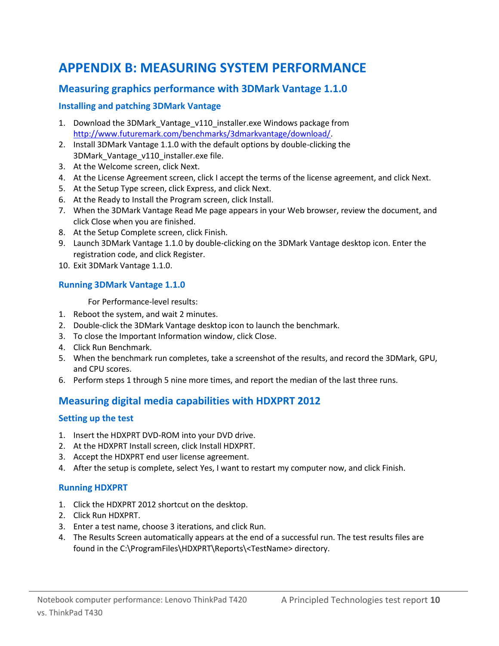# <span id="page-9-0"></span>**APPENDIX B: MEASURING SYSTEM PERFORMANCE**

## **Measuring graphics performance with 3DMark Vantage 1.1.0**

#### **Installing and patching 3DMark Vantage**

- 1. Download the 3DMark\_Vantage\_v110\_installer.exe Windows package from [http://www.futuremark.com/benchmarks/3dmarkvantage/download/.](http://www.futuremark.com/benchmarks/3dmarkvantage/download/)
- 2. Install 3DMark Vantage 1.1.0 with the default options by double-clicking the 3DMark\_Vantage\_v110\_installer.exe file.
- 3. At the Welcome screen, click Next.
- 4. At the License Agreement screen, click I accept the terms of the license agreement, and click Next.
- 5. At the Setup Type screen, click Express, and click Next.
- 6. At the Ready to Install the Program screen, click Install.
- 7. When the 3DMark Vantage Read Me page appears in your Web browser, review the document, and click Close when you are finished.
- 8. At the Setup Complete screen, click Finish.
- 9. Launch 3DMark Vantage 1.1.0 by double-clicking on the 3DMark Vantage desktop icon. Enter the registration code, and click Register.
- 10. Exit 3DMark Vantage 1.1.0.

#### **Running 3DMark Vantage 1.1.0**

For Performance-level results:

- 1. Reboot the system, and wait 2 minutes.
- 2. Double-click the 3DMark Vantage desktop icon to launch the benchmark.
- 3. To close the Important Information window, click Close.
- 4. Click Run Benchmark.
- 5. When the benchmark run completes, take a screenshot of the results, and record the 3DMark, GPU, and CPU scores.
- 6. Perform steps 1 through 5 nine more times, and report the median of the last three runs.

## **Measuring digital media capabilities with HDXPRT 2012**

#### **Setting up the test**

- 1. Insert the HDXPRT DVD-ROM into your DVD drive.
- 2. At the HDXPRT Install screen, click Install HDXPRT.
- 3. Accept the HDXPRT end user license agreement.
- 4. After the setup is complete, select Yes, I want to restart my computer now, and click Finish.

#### **Running HDXPRT**

- 1. Click the HDXPRT 2012 shortcut on the desktop.
- 2. Click Run HDXPRT.
- 3. Enter a test name, choose 3 iterations, and click Run.
- 4. The Results Screen automatically appears at the end of a successful run. The test results files are found in the C:\ProgramFiles\HDXPRT\Reports\<TestName> directory.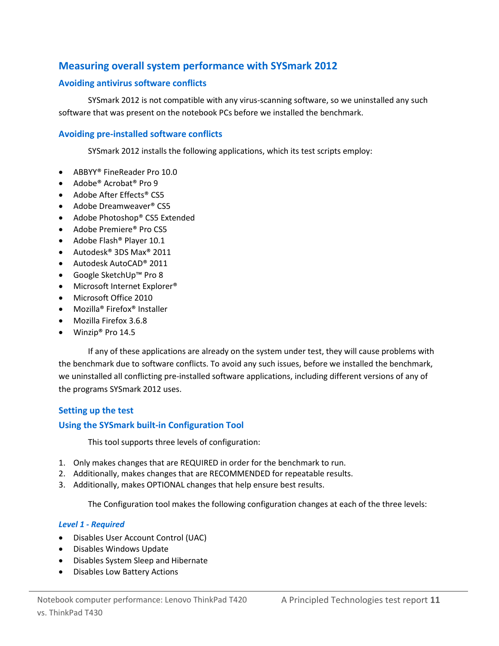## **Measuring overall system performance with SYSmark 2012**

#### **Avoiding antivirus software conflicts**

SYSmark 2012 is not compatible with any virus-scanning software, so we uninstalled any such software that was present on the notebook PCs before we installed the benchmark.

#### **Avoiding pre-installed software conflicts**

SYSmark 2012 installs the following applications, which its test scripts employ:

- ABBYY® FineReader Pro 10.0
- Adobe<sup>®</sup> Acrobat<sup>®</sup> Pro 9
- Adobe After Effects® CS5
- Adobe Dreamweaver<sup>®</sup> CS5
- Adobe Photoshop® CS5 Extended
- Adobe Premiere<sup>®</sup> Pro CS5
- Adobe Flash<sup>®</sup> Player 10.1
- Autodesk<sup>®</sup> 3DS Max<sup>®</sup> 2011
- Autodesk AutoCAD® 2011
- Google SketchUp™ Pro 8
- Microsoft Internet Explorer<sup>®</sup>
- Microsoft Office 2010
- Mozilla<sup>®</sup> Firefox<sup>®</sup> Installer
- Mozilla Firefox 3.6.8
- Winzip<sup>®</sup> Pro 14.5

If any of these applications are already on the system under test, they will cause problems with the benchmark due to software conflicts. To avoid any such issues, before we installed the benchmark, we uninstalled all conflicting pre-installed software applications, including different versions of any of the programs SYSmark 2012 uses.

#### **Setting up the test**

#### **Using the SYSmark built-in Configuration Tool**

This tool supports three levels of configuration:

- 1. Only makes changes that are REQUIRED in order for the benchmark to run.
- 2. Additionally, makes changes that are RECOMMENDED for repeatable results.
- 3. Additionally, makes OPTIONAL changes that help ensure best results.

The Configuration tool makes the following configuration changes at each of the three levels:

#### *Level 1 - Required*

- Disables User Account Control (UAC)
- Disables Windows Update
- Disables System Sleep and Hibernate
- Disables Low Battery Actions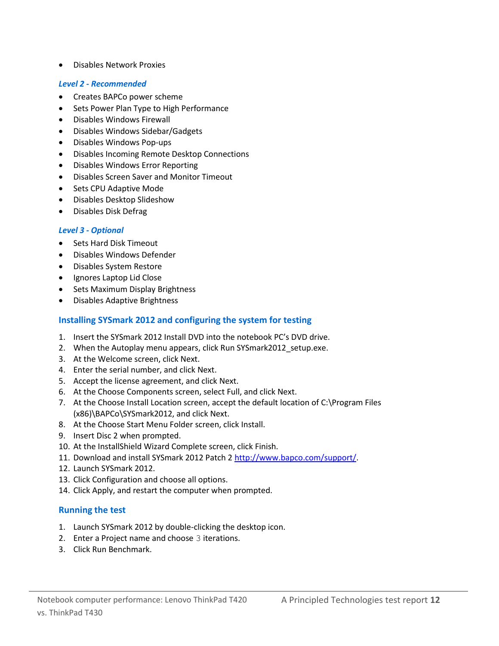Disables Network Proxies

#### *Level 2 - Recommended*

- Creates BAPCo power scheme
- Sets Power Plan Type to High Performance
- Disables Windows Firewall
- Disables Windows Sidebar/Gadgets
- Disables Windows Pop-ups
- Disables Incoming Remote Desktop Connections
- Disables Windows Error Reporting
- Disables Screen Saver and Monitor Timeout
- Sets CPU Adaptive Mode
- Disables Desktop Slideshow
- Disables Disk Defrag

#### *Level 3 - Optional*

- Sets Hard Disk Timeout
- Disables Windows Defender
- Disables System Restore
- Ignores Laptop Lid Close
- Sets Maximum Display Brightness
- Disables Adaptive Brightness

#### **Installing SYSmark 2012 and configuring the system for testing**

- 1. Insert the SYSmark 2012 Install DVD into the notebook PC's DVD drive.
- 2. When the Autoplay menu appears, click Run SYSmark2012 setup.exe.
- 3. At the Welcome screen, click Next.
- 4. Enter the serial number, and click Next.
- 5. Accept the license agreement, and click Next.
- 6. At the Choose Components screen, select Full, and click Next.
- 7. At the Choose Install Location screen, accept the default location of C:\Program Files (x86)\BAPCo\SYSmark2012, and click Next.
- 8. At the Choose Start Menu Folder screen, click Install.
- 9. Insert Disc 2 when prompted.
- 10. At the InstallShield Wizard Complete screen, click Finish.
- 11. Download and install SYSmark 2012 Patch [2 http://www.bapco.com/support/.](http://www.bapco.com/support/)
- 12. Launch SYSmark 2012.
- 13. Click Configuration and choose all options.
- 14. Click Apply, and restart the computer when prompted.

#### **Running the test**

- 1. Launch SYSmark 2012 by double-clicking the desktop icon.
- 2. Enter a Project name and choose 3 iterations.
- 3. Click Run Benchmark.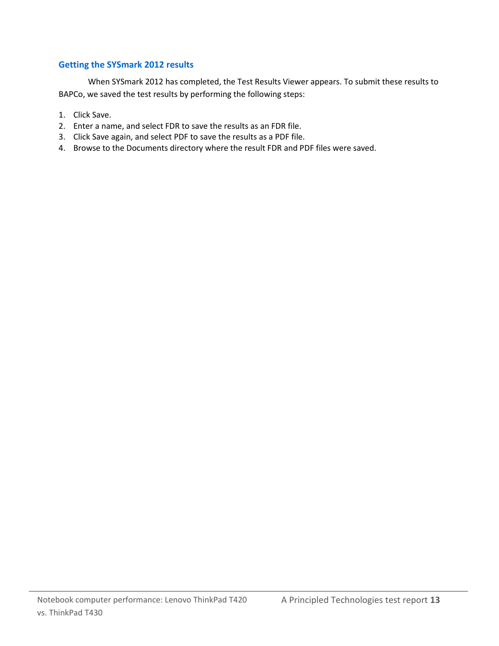#### **Getting the SYSmark 2012 results**

When SYSmark 2012 has completed, the Test Results Viewer appears. To submit these results to BAPCo, we saved the test results by performing the following steps:

- 1. Click Save.
- 2. Enter a name, and select FDR to save the results as an FDR file.
- 3. Click Save again, and select PDF to save the results as a PDF file.
- 4. Browse to the Documents directory where the result FDR and PDF files were saved.